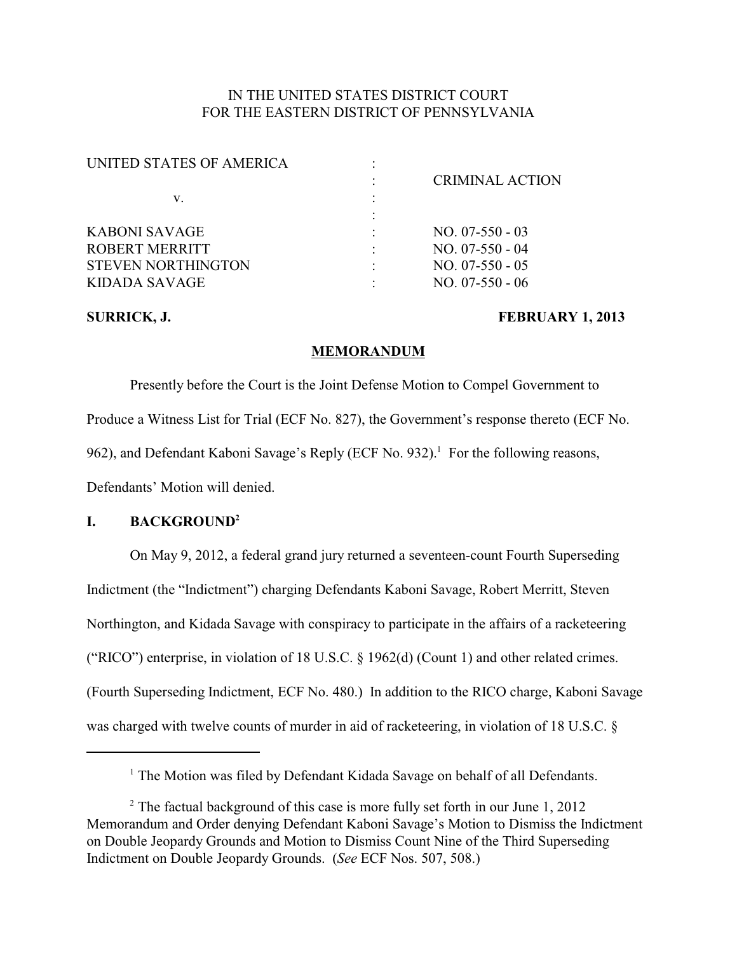# IN THE UNITED STATES DISTRICT COURT FOR THE EASTERN DISTRICT OF PENNSYLVANIA

| UNITED STATES OF AMERICA  |                        |
|---------------------------|------------------------|
|                           | <b>CRIMINAL ACTION</b> |
| v.                        |                        |
|                           |                        |
| KABONI SAVAGE             | $NO. 07-550-03$        |
| ROBERT MERRITT            | $NO. 07-550 - 04$      |
| <b>STEVEN NORTHINGTON</b> | $NO. 07-550-05$        |
| KIDADA SAVAGE             | $NO. 07-550 - 06$      |
|                           |                        |

#### SURRICK, J. **FEBRUARY 1, 2013**

#### **MEMORANDUM**

Presently before the Court is the Joint Defense Motion to Compel Government to Produce a Witness List for Trial (ECF No. 827), the Government's response thereto (ECF No. 962), and Defendant Kaboni Savage's Reply (ECF No. 932).<sup>1</sup> For the following reasons, Defendants' Motion will denied.

### **I. BACKGROUND<sup>2</sup>**

On May 9, 2012, a federal grand jury returned a seventeen-count Fourth Superseding Indictment (the "Indictment") charging Defendants Kaboni Savage, Robert Merritt, Steven Northington, and Kidada Savage with conspiracy to participate in the affairs of a racketeering ("RICO") enterprise, in violation of 18 U.S.C. § 1962(d) (Count 1) and other related crimes. (Fourth Superseding Indictment, ECF No. 480.) In addition to the RICO charge, Kaboni Savage was charged with twelve counts of murder in aid of racketeering, in violation of 18 U.S.C. §

 $<sup>1</sup>$  The Motion was filed by Defendant Kidada Savage on behalf of all Defendants.</sup>

 $2$  The factual background of this case is more fully set forth in our June 1, 2012 Memorandum and Order denying Defendant Kaboni Savage's Motion to Dismiss the Indictment on Double Jeopardy Grounds and Motion to Dismiss Count Nine of the Third Superseding Indictment on Double Jeopardy Grounds. (*See* ECF Nos. 507, 508.)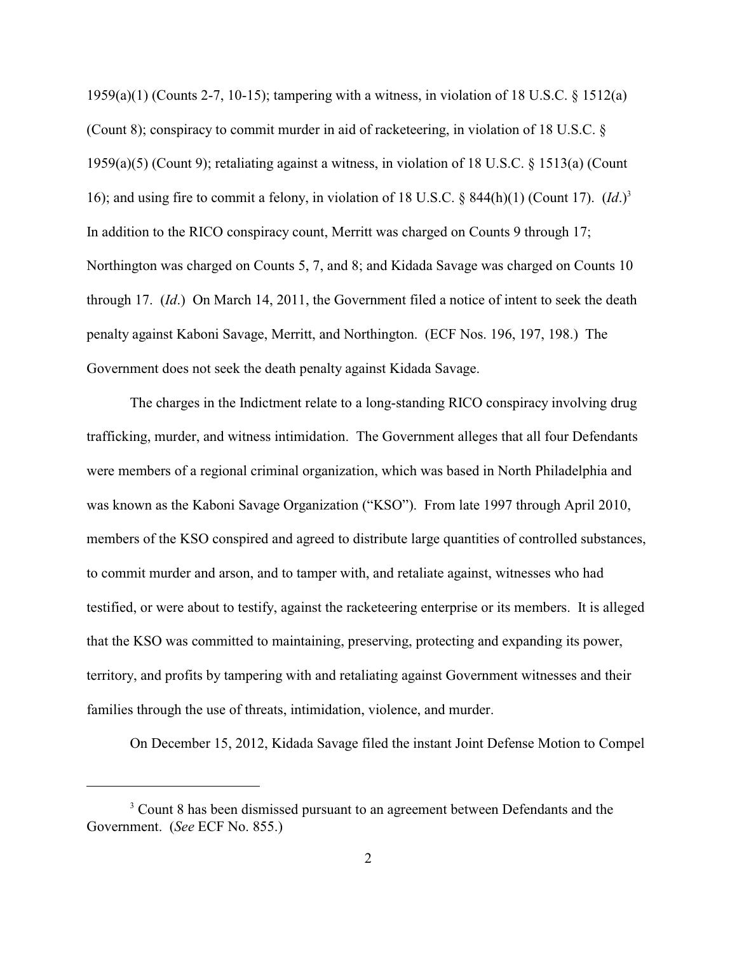1959(a)(1) (Counts 2-7, 10-15); tampering with a witness, in violation of 18 U.S.C. § 1512(a) (Count 8); conspiracy to commit murder in aid of racketeering, in violation of 18 U.S.C. § 1959(a)(5) (Count 9); retaliating against a witness, in violation of 18 U.S.C. § 1513(a) (Count 16); and using fire to commit a felony, in violation of 18 U.S.C. § 844(h)(1) (Count 17). (*Id*.)<sup>3</sup> In addition to the RICO conspiracy count, Merritt was charged on Counts 9 through 17; Northington was charged on Counts 5, 7, and 8; and Kidada Savage was charged on Counts 10 through 17. (*Id*.) On March 14, 2011, the Government filed a notice of intent to seek the death penalty against Kaboni Savage, Merritt, and Northington. (ECF Nos. 196, 197, 198.) The Government does not seek the death penalty against Kidada Savage.

The charges in the Indictment relate to a long-standing RICO conspiracy involving drug trafficking, murder, and witness intimidation. The Government alleges that all four Defendants were members of a regional criminal organization, which was based in North Philadelphia and was known as the Kaboni Savage Organization ("KSO"). From late 1997 through April 2010, members of the KSO conspired and agreed to distribute large quantities of controlled substances, to commit murder and arson, and to tamper with, and retaliate against, witnesses who had testified, or were about to testify, against the racketeering enterprise or its members. It is alleged that the KSO was committed to maintaining, preserving, protecting and expanding its power, territory, and profits by tampering with and retaliating against Government witnesses and their families through the use of threats, intimidation, violence, and murder.

On December 15, 2012, Kidada Savage filed the instant Joint Defense Motion to Compel

<sup>&</sup>lt;sup>3</sup> Count 8 has been dismissed pursuant to an agreement between Defendants and the Government. (*See* ECF No. 855.)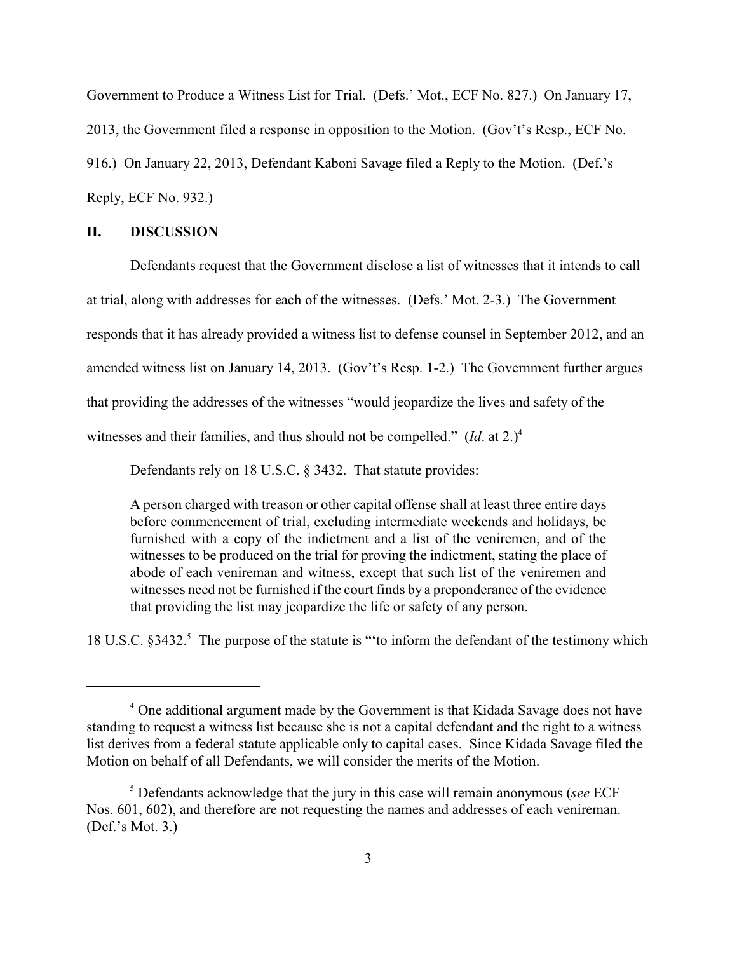Government to Produce a Witness List for Trial. (Defs.' Mot., ECF No. 827.) On January 17, 2013, the Government filed a response in opposition to the Motion. (Gov't's Resp., ECF No. 916.) On January 22, 2013, Defendant Kaboni Savage filed a Reply to the Motion. (Def.'s Reply, ECF No. 932.)

#### **II. DISCUSSION**

Defendants request that the Government disclose a list of witnesses that it intends to call at trial, along with addresses for each of the witnesses. (Defs.' Mot. 2-3.) The Government responds that it has already provided a witness list to defense counsel in September 2012, and an amended witness list on January 14, 2013. (Gov't's Resp. 1-2.) The Government further argues that providing the addresses of the witnesses "would jeopardize the lives and safety of the witnesses and their families, and thus should not be compelled."  $(Id.$  at  $2.)<sup>4</sup>$ 

Defendants rely on 18 U.S.C. § 3432. That statute provides:

A person charged with treason or other capital offense shall at least three entire days before commencement of trial, excluding intermediate weekends and holidays, be furnished with a copy of the indictment and a list of the veniremen, and of the witnesses to be produced on the trial for proving the indictment, stating the place of abode of each venireman and witness, except that such list of the veniremen and witnesses need not be furnished if the court finds by a preponderance of the evidence that providing the list may jeopardize the life or safety of any person.

18 U.S.C. §3432.<sup>5</sup> The purpose of the statute is "to inform the defendant of the testimony which

<sup>&</sup>lt;sup>4</sup> One additional argument made by the Government is that Kidada Savage does not have standing to request a witness list because she is not a capital defendant and the right to a witness list derives from a federal statute applicable only to capital cases. Since Kidada Savage filed the Motion on behalf of all Defendants, we will consider the merits of the Motion.

Defendants acknowledge that the jury in this case will remain anonymous (*see* ECF <sup>5</sup> Nos. 601, 602), and therefore are not requesting the names and addresses of each venireman. (Def.'s Mot. 3.)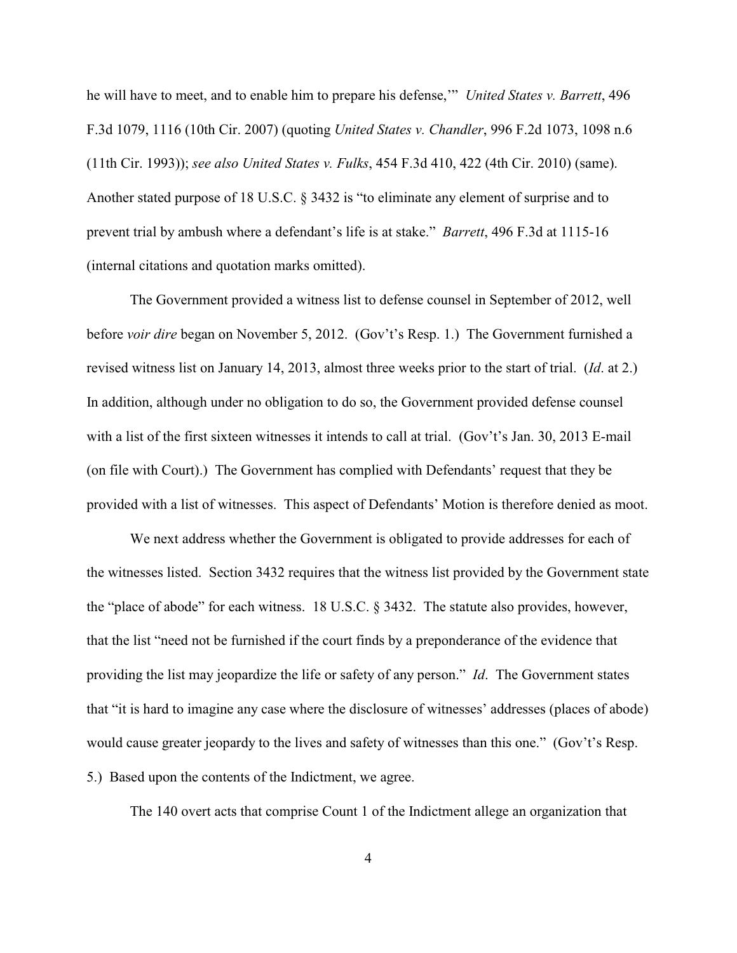he will have to meet, and to enable him to prepare his defense,'" *United States v. Barrett*, 496 F.3d 1079, 1116 (10th Cir. 2007) (quoting *United States v. Chandler*, 996 F.2d 1073, 1098 n.6 (11th Cir. 1993)); *see also United States v. Fulks*, 454 F.3d 410, 422 (4th Cir. 2010) (same). Another stated purpose of 18 U.S.C. § 3432 is "to eliminate any element of surprise and to prevent trial by ambush where a defendant's life is at stake." *Barrett*, 496 F.3d at 1115-16 (internal citations and quotation marks omitted).

The Government provided a witness list to defense counsel in September of 2012, well before *voir dire* began on November 5, 2012. (Gov't's Resp. 1.) The Government furnished a revised witness list on January 14, 2013, almost three weeks prior to the start of trial. (*Id*. at 2.) In addition, although under no obligation to do so, the Government provided defense counsel with a list of the first sixteen witnesses it intends to call at trial. (Gov't's Jan. 30, 2013 E-mail (on file with Court).) The Government has complied with Defendants' request that they be provided with a list of witnesses. This aspect of Defendants' Motion is therefore denied as moot.

We next address whether the Government is obligated to provide addresses for each of the witnesses listed. Section 3432 requires that the witness list provided by the Government state the "place of abode" for each witness. 18 U.S.C. § 3432. The statute also provides, however, that the list "need not be furnished if the court finds by a preponderance of the evidence that providing the list may jeopardize the life or safety of any person." *Id*. The Government states that "it is hard to imagine any case where the disclosure of witnesses' addresses (places of abode) would cause greater jeopardy to the lives and safety of witnesses than this one." (Gov't's Resp. 5.) Based upon the contents of the Indictment, we agree.

The 140 overt acts that comprise Count 1 of the Indictment allege an organization that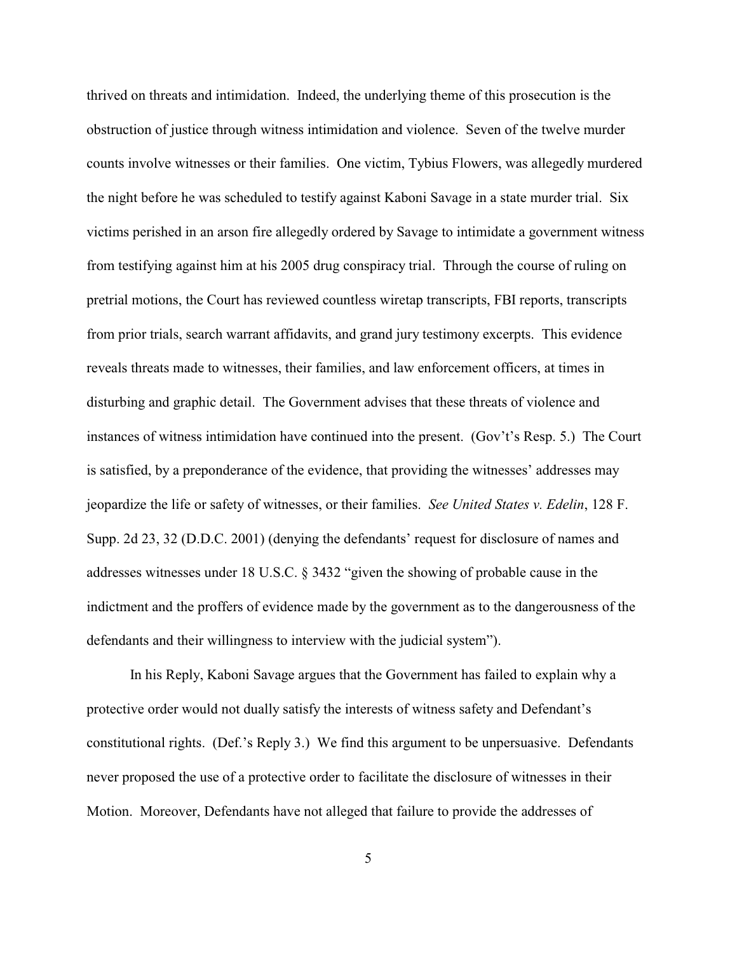thrived on threats and intimidation. Indeed, the underlying theme of this prosecution is the obstruction of justice through witness intimidation and violence. Seven of the twelve murder counts involve witnesses or their families. One victim, Tybius Flowers, was allegedly murdered the night before he was scheduled to testify against Kaboni Savage in a state murder trial. Six victims perished in an arson fire allegedly ordered by Savage to intimidate a government witness from testifying against him at his 2005 drug conspiracy trial. Through the course of ruling on pretrial motions, the Court has reviewed countless wiretap transcripts, FBI reports, transcripts from prior trials, search warrant affidavits, and grand jury testimony excerpts. This evidence reveals threats made to witnesses, their families, and law enforcement officers, at times in disturbing and graphic detail. The Government advises that these threats of violence and instances of witness intimidation have continued into the present. (Gov't's Resp. 5.) The Court is satisfied, by a preponderance of the evidence, that providing the witnesses' addresses may jeopardize the life or safety of witnesses, or their families. *See United States v. Edelin*, 128 F. Supp. 2d 23, 32 (D.D.C. 2001) (denying the defendants' request for disclosure of names and addresses witnesses under 18 U.S.C. § 3432 "given the showing of probable cause in the indictment and the proffers of evidence made by the government as to the dangerousness of the defendants and their willingness to interview with the judicial system").

In his Reply, Kaboni Savage argues that the Government has failed to explain why a protective order would not dually satisfy the interests of witness safety and Defendant's constitutional rights. (Def.'s Reply 3.) We find this argument to be unpersuasive. Defendants never proposed the use of a protective order to facilitate the disclosure of witnesses in their Motion. Moreover, Defendants have not alleged that failure to provide the addresses of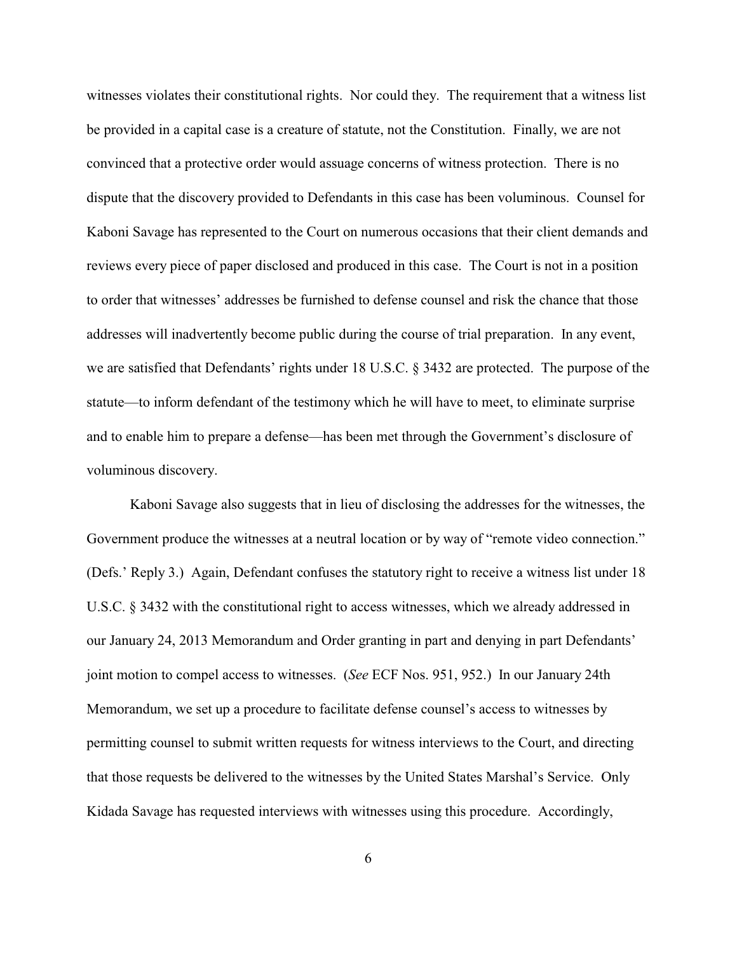witnesses violates their constitutional rights. Nor could they. The requirement that a witness list be provided in a capital case is a creature of statute, not the Constitution. Finally, we are not convinced that a protective order would assuage concerns of witness protection. There is no dispute that the discovery provided to Defendants in this case has been voluminous. Counsel for Kaboni Savage has represented to the Court on numerous occasions that their client demands and reviews every piece of paper disclosed and produced in this case. The Court is not in a position to order that witnesses' addresses be furnished to defense counsel and risk the chance that those addresses will inadvertently become public during the course of trial preparation. In any event, we are satisfied that Defendants' rights under 18 U.S.C. § 3432 are protected. The purpose of the statute—to inform defendant of the testimony which he will have to meet, to eliminate surprise and to enable him to prepare a defense—has been met through the Government's disclosure of voluminous discovery.

Kaboni Savage also suggests that in lieu of disclosing the addresses for the witnesses, the Government produce the witnesses at a neutral location or by way of "remote video connection." (Defs.' Reply 3.) Again, Defendant confuses the statutory right to receive a witness list under 18 U.S.C. § 3432 with the constitutional right to access witnesses, which we already addressed in our January 24, 2013 Memorandum and Order granting in part and denying in part Defendants' joint motion to compel access to witnesses. (*See* ECF Nos. 951, 952.) In our January 24th Memorandum, we set up a procedure to facilitate defense counsel's access to witnesses by permitting counsel to submit written requests for witness interviews to the Court, and directing that those requests be delivered to the witnesses by the United States Marshal's Service. Only Kidada Savage has requested interviews with witnesses using this procedure. Accordingly,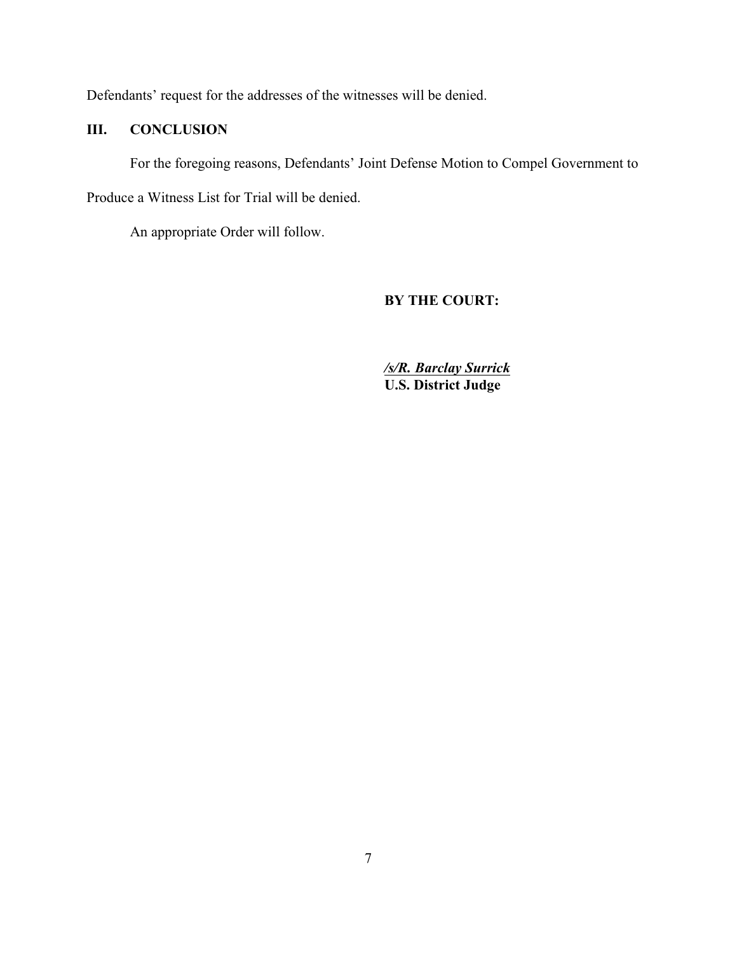Defendants' request for the addresses of the witnesses will be denied.

# **III. CONCLUSION**

For the foregoing reasons, Defendants' Joint Defense Motion to Compel Government to

Produce a Witness List for Trial will be denied.

An appropriate Order will follow.

# **BY THE COURT:**

*/s/R. Barclay Surrick* **U.S. District Judge**